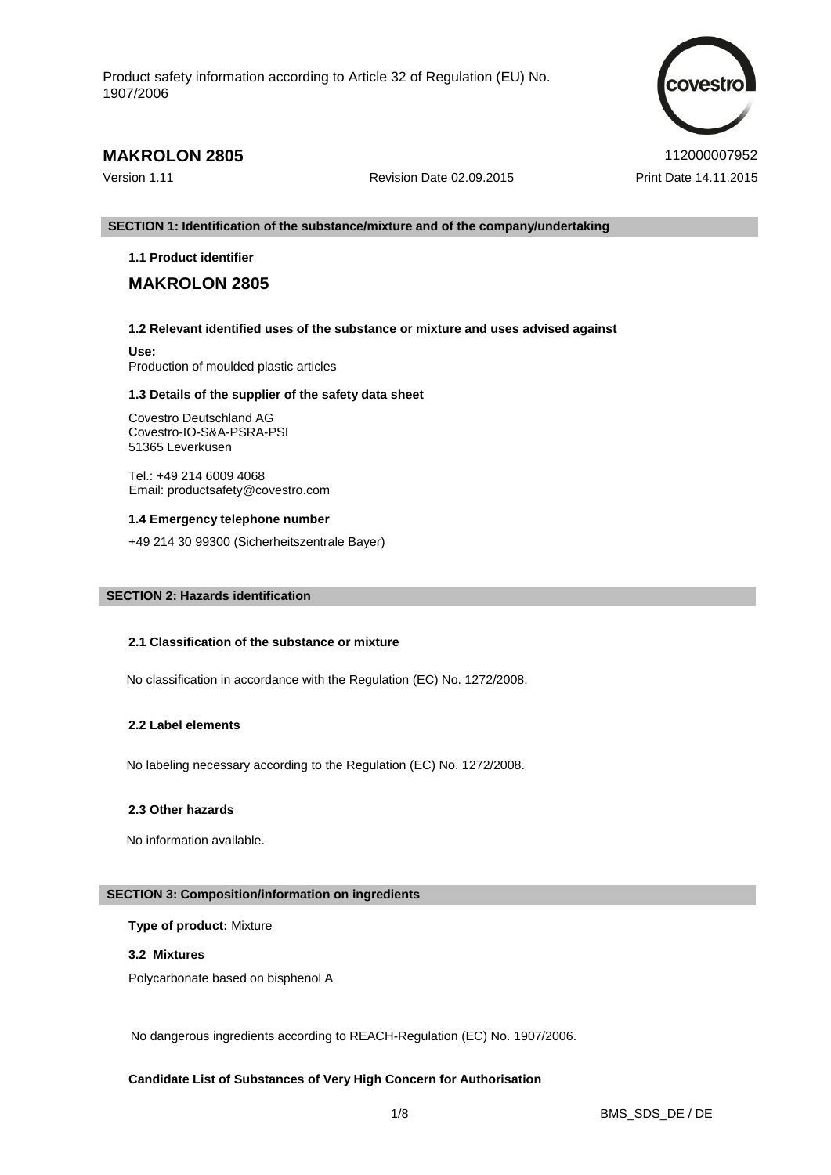

# **MAKROLON 2805**  $112000007952$

Version 1.11 Revision Date 02.09.2015 Print Date 14.11.2015

#### **SECTION 1: Identification of the substance/mixture and of the company/undertaking**

# **1.1 Product identifier**

# **MAKROLON 2805**

# **1.2 Relevant identified uses of the substance or mixture and uses advised against**

**Use:** Production of moulded plastic articles

#### **1.3 Details of the supplier of the safety data sheet**

Covestro Deutschland AG Covestro-IO-S&A-PSRA-PSI 51365 Leverkusen

Tel.: +49 214 6009 4068 Email: productsafety@covestro.com

#### **1.4 Emergency telephone number**

+49 214 30 99300 (Sicherheitszentrale Bayer)

# **SECTION 2: Hazards identification**

#### **2.1 Classification of the substance or mixture**

No classification in accordance with the Regulation (EC) No. 1272/2008.

# **2.2 Label elements**

No labeling necessary according to the Regulation (EC) No. 1272/2008.

#### **2.3 Other hazards**

No information available.

## **SECTION 3: Composition/information on ingredients**

# **Type of product:** Mixture

## **3.2 Mixtures**

Polycarbonate based on bisphenol A

No dangerous ingredients according to REACH-Regulation (EC) No. 1907/2006.

# **Candidate List of Substances of Very High Concern for Authorisation**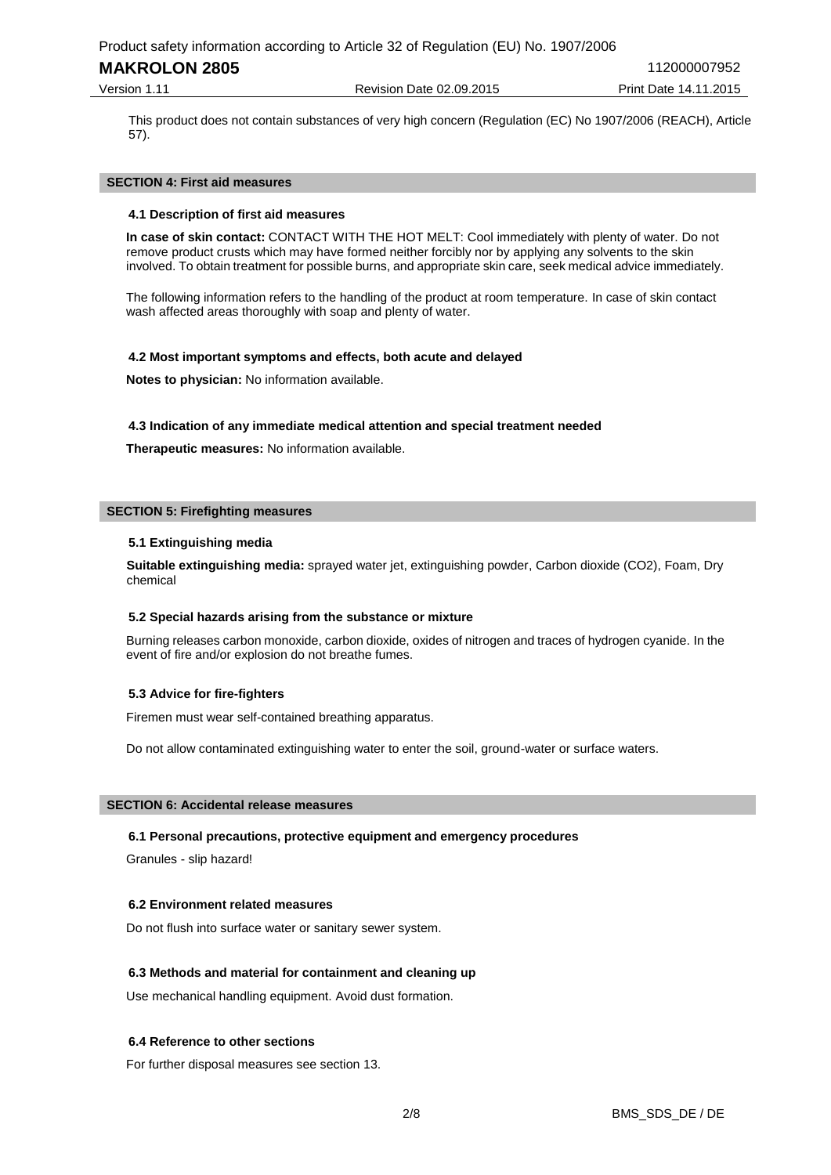# **MAKROLON 2805**  $112000007952$

Version 1.11 Revision Date 02.09.2015 Print Date 14.11.2015

This product does not contain substances of very high concern (Regulation (EC) No 1907/2006 (REACH), Article 57).

#### **SECTION 4: First aid measures**

#### **4.1 Description of first aid measures**

**In case of skin contact:** CONTACT WITH THE HOT MELT: Cool immediately with plenty of water. Do not remove product crusts which may have formed neither forcibly nor by applying any solvents to the skin involved. To obtain treatment for possible burns, and appropriate skin care, seek medical advice immediately.

The following information refers to the handling of the product at room temperature. In case of skin contact wash affected areas thoroughly with soap and plenty of water.

# **4.2 Most important symptoms and effects, both acute and delayed**

**Notes to physician:** No information available.

# **4.3 Indication of any immediate medical attention and special treatment needed**

**Therapeutic measures:** No information available.

## **SECTION 5: Firefighting measures**

# **5.1 Extinguishing media**

**Suitable extinguishing media:** sprayed water jet, extinguishing powder, Carbon dioxide (CO2), Foam, Dry chemical

#### **5.2 Special hazards arising from the substance or mixture**

Burning releases carbon monoxide, carbon dioxide, oxides of nitrogen and traces of hydrogen cyanide. In the event of fire and/or explosion do not breathe fumes.

# **5.3 Advice for fire-fighters**

Firemen must wear self-contained breathing apparatus.

Do not allow contaminated extinguishing water to enter the soil, ground-water or surface waters.

#### **SECTION 6: Accidental release measures**

#### **6.1 Personal precautions, protective equipment and emergency procedures**

Granules - slip hazard!

#### **6.2 Environment related measures**

Do not flush into surface water or sanitary sewer system.

# **6.3 Methods and material for containment and cleaning up**

Use mechanical handling equipment. Avoid dust formation.

#### **6.4 Reference to other sections**

For further disposal measures see section 13.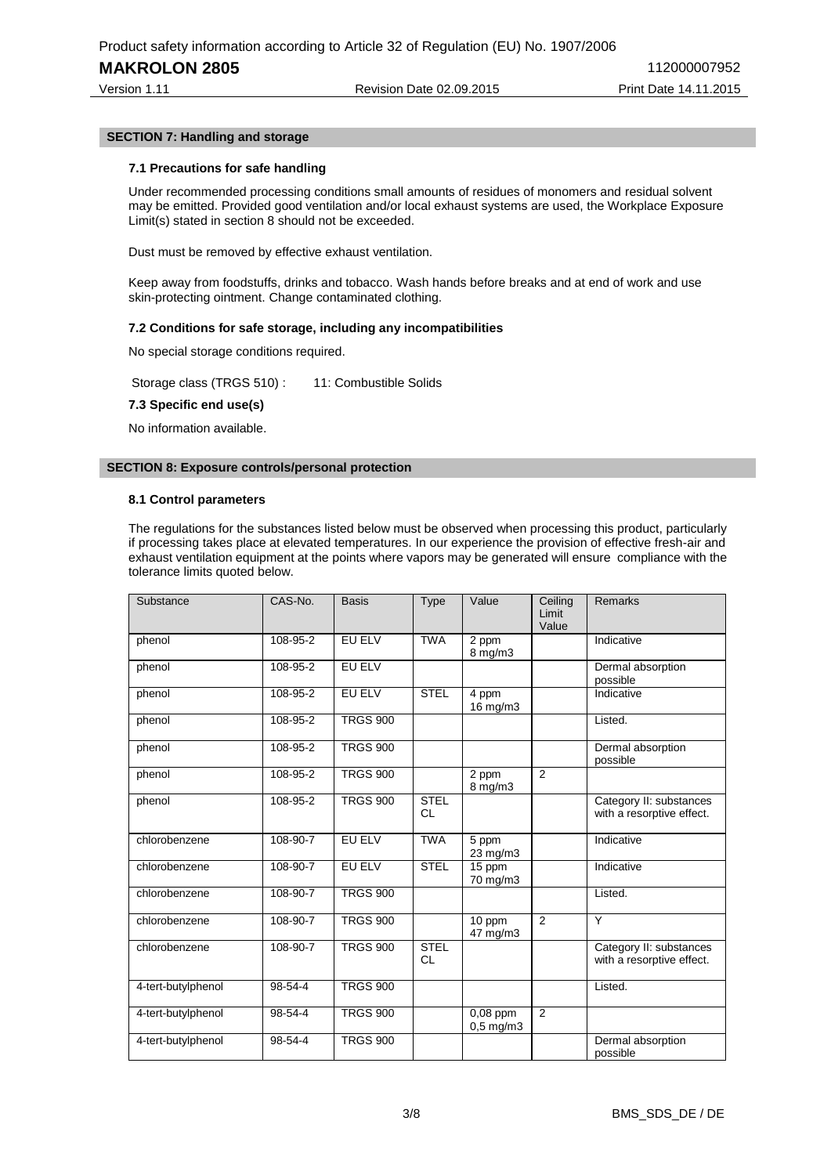Version 1.11 Revision Date 02.09.2015 Print Date 14.11.2015

# **SECTION 7: Handling and storage**

# **7.1 Precautions for safe handling**

Under recommended processing conditions small amounts of residues of monomers and residual solvent may be emitted. Provided good ventilation and/or local exhaust systems are used, the Workplace Exposure Limit(s) stated in section 8 should not be exceeded.

Dust must be removed by effective exhaust ventilation.

Keep away from foodstuffs, drinks and tobacco. Wash hands before breaks and at end of work and use skin-protecting ointment. Change contaminated clothing.

# **7.2 Conditions for safe storage, including any incompatibilities**

No special storage conditions required.

Storage class (TRGS 510) : 11: Combustible Solids

## **7.3 Specific end use(s)**

No information available.

# **SECTION 8: Exposure controls/personal protection**

#### **8.1 Control parameters**

The regulations for the substances listed below must be observed when processing this product, particularly if processing takes place at elevated temperatures. In our experience the provision of effective fresh-air and exhaust ventilation equipment at the points where vapors may be generated will ensure compliance with the tolerance limits quoted below.

| Substance          | CAS-No.  | <b>Basis</b>    | Type                     | Value                        | Ceiling<br>Limit<br>Value | <b>Remarks</b>                                       |
|--------------------|----------|-----------------|--------------------------|------------------------------|---------------------------|------------------------------------------------------|
| phenol             | 108-95-2 | EU ELV          | <b>TWA</b>               | 2 ppm<br>$8 \text{ mg/m}$    |                           | Indicative                                           |
| phenol             | 108-95-2 | EU ELV          |                          |                              |                           | Dermal absorption<br>possible                        |
| phenol             | 108-95-2 | EU ELV          | <b>STEL</b>              | 4 ppm<br>16 mg/m3            |                           | Indicative                                           |
| phenol             | 108-95-2 | <b>TRGS 900</b> |                          |                              |                           | Listed.                                              |
| phenol             | 108-95-2 | <b>TRGS 900</b> |                          |                              |                           | Dermal absorption<br>possible                        |
| phenol             | 108-95-2 | <b>TRGS 900</b> |                          | 2 ppm<br>$8 \,\mathrm{mg/m}$ | $\overline{2}$            |                                                      |
| phenol             | 108-95-2 | <b>TRGS 900</b> | <b>STEL</b><br>CL        |                              |                           | Category II: substances<br>with a resorptive effect. |
| chlorobenzene      | 108-90-7 | EU ELV          | <b>TWA</b>               | 5 ppm<br>23 mg/m3            |                           | Indicative                                           |
| chlorobenzene      | 108-90-7 | <b>EU ELV</b>   | <b>STEL</b>              | 15 ppm<br>70 mg/m3           |                           | Indicative                                           |
| chlorobenzene      | 108-90-7 | <b>TRGS 900</b> |                          |                              |                           | Listed.                                              |
| chlorobenzene      | 108-90-7 | <b>TRGS 900</b> |                          | 10 ppm<br>47 mg/m3           | $\overline{2}$            | Y                                                    |
| chlorobenzene      | 108-90-7 | <b>TRGS 900</b> | <b>STEL</b><br><b>CL</b> |                              |                           | Category II: substances<br>with a resorptive effect. |
| 4-tert-butylphenol | 98-54-4  | <b>TRGS 900</b> |                          |                              |                           | Listed.                                              |
| 4-tert-butylphenol | 98-54-4  | <b>TRGS 900</b> |                          | $0,08$ ppm<br>$0.5$ mg/m $3$ | $\overline{2}$            |                                                      |
| 4-tert-butylphenol | 98-54-4  | <b>TRGS 900</b> |                          |                              |                           | Dermal absorption<br>possible                        |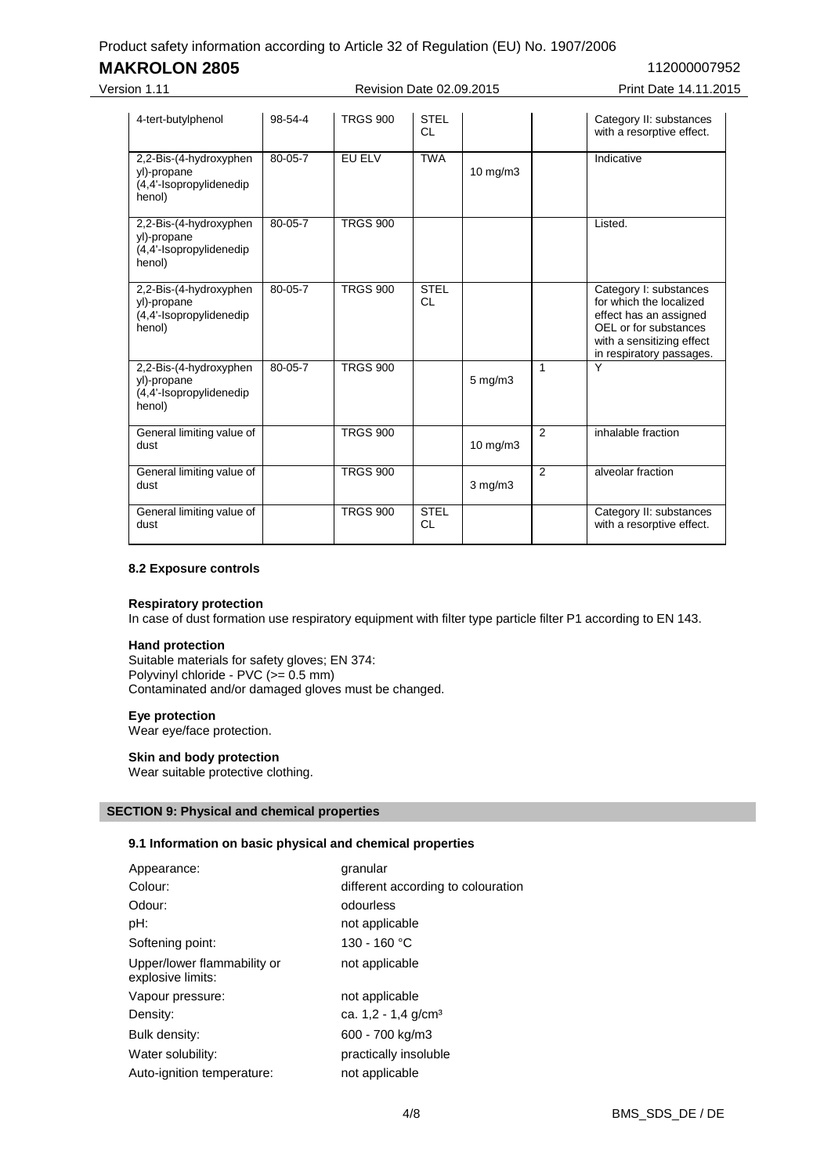# **MAKROLON 2805**  $112000007952$

Version 1.11 Revision Date 02.09.2015 Print Date 14.11.2015

| 4-tert-butylphenol                                                         | 98-54-4 | <b>TRGS 900</b> | <b>STEL</b><br>CL. |               |                | Category II: substances<br>with a resorptive effect.                                                                                                          |
|----------------------------------------------------------------------------|---------|-----------------|--------------------|---------------|----------------|---------------------------------------------------------------------------------------------------------------------------------------------------------------|
| 2,2-Bis-(4-hydroxyphen<br>yl)-propane<br>(4,4'-Isopropylidenedip<br>henol) | 80-05-7 | EU ELV          | <b>TWA</b>         | $10$ mg/m $3$ |                | Indicative                                                                                                                                                    |
| 2,2-Bis-(4-hydroxyphen<br>yl)-propane<br>(4,4'-Isopropylidenedip<br>henol) | 80-05-7 | <b>TRGS 900</b> |                    |               |                | Listed.                                                                                                                                                       |
| 2,2-Bis-(4-hydroxyphen<br>yl)-propane<br>(4,4'-Isopropylidenedip<br>henol) | 80-05-7 | <b>TRGS 900</b> | <b>STEL</b><br>CL  |               |                | Category I: substances<br>for which the localized<br>effect has an assigned<br>OEL or for substances<br>with a sensitizing effect<br>in respiratory passages. |
| 2,2-Bis-(4-hydroxyphen<br>yl)-propane<br>(4,4'-Isopropylidenedip<br>henol) | 80-05-7 | <b>TRGS 900</b> |                    | 5 mg/m3       | 1              | Y                                                                                                                                                             |
| General limiting value of<br>dust                                          |         | <b>TRGS 900</b> |                    | $10$ mg/m $3$ | $\mathfrak{p}$ | inhalable fraction                                                                                                                                            |
| General limiting value of<br>dust                                          |         | <b>TRGS 900</b> |                    | $3$ mg/m $3$  | $\mathfrak{p}$ | alveolar fraction                                                                                                                                             |
| General limiting value of<br>dust                                          |         | <b>TRGS 900</b> | <b>STEL</b><br>CL  |               |                | Category II: substances<br>with a resorptive effect.                                                                                                          |

# **8.2 Exposure controls**

## **Respiratory protection**

In case of dust formation use respiratory equipment with filter type particle filter P1 according to EN 143.

#### **Hand protection**

Suitable materials for safety gloves; EN 374: Polyvinyl chloride - PVC (>= 0.5 mm) Contaminated and/or damaged gloves must be changed.

#### **Eye protection**

Wear eye/face protection.

# **Skin and body protection**

Wear suitable protective clothing.

# **SECTION 9: Physical and chemical properties**

# **9.1 Information on basic physical and chemical properties**

| Appearance:                                      | granular                           |
|--------------------------------------------------|------------------------------------|
| Colour:                                          | different according to colouration |
| Odour:                                           | odourless                          |
| pH:                                              | not applicable                     |
| Softening point:                                 | 130 - 160 °C                       |
| Upper/lower flammability or<br>explosive limits: | not applicable                     |
| Vapour pressure:                                 | not applicable                     |
| Density:                                         | ca. $1,2 - 1,4$ g/cm <sup>3</sup>  |
| Bulk density:                                    | 600 - 700 kg/m3                    |
| Water solubility:                                | practically insoluble              |
| Auto-ignition temperature:                       | not applicable                     |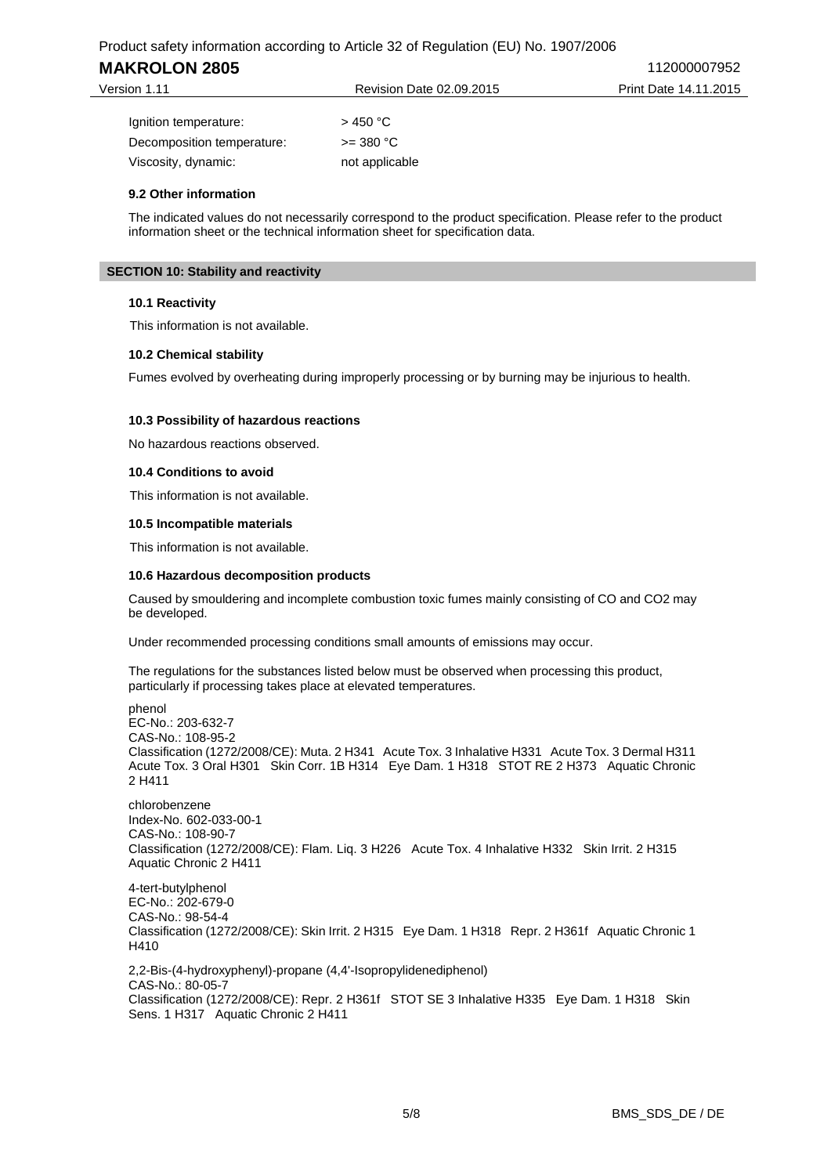# **MAKROLON 2805**  $112000007952$

| Version 1.11               | Revision Date 02.09.2015 | Print Date 14.11.2015 |  |
|----------------------------|--------------------------|-----------------------|--|
| Ignition temperature:      | > 450 °C                 |                       |  |
| Decomposition temperature: | $>=$ 380 °C              |                       |  |

# **9.2 Other information**

The indicated values do not necessarily correspond to the product specification. Please refer to the product information sheet or the technical information sheet for specification data.

## **SECTION 10: Stability and reactivity**

#### **10.1 Reactivity**

This information is not available.

# **10.2 Chemical stability**

Fumes evolved by overheating during improperly processing or by burning may be injurious to health.

# **10.3 Possibility of hazardous reactions**

Viscosity, dynamic: not applicable

No hazardous reactions observed.

# **10.4 Conditions to avoid**

This information is not available.

# **10.5 Incompatible materials**

This information is not available.

# **10.6 Hazardous decomposition products**

Caused by smouldering and incomplete combustion toxic fumes mainly consisting of CO and CO2 may be developed.

Under recommended processing conditions small amounts of emissions may occur.

The regulations for the substances listed below must be observed when processing this product, particularly if processing takes place at elevated temperatures.

phenol EC-No.: 203-632-7 CAS-No.: 108-95-2 Classification (1272/2008/CE): Muta. 2 H341 Acute Tox. 3 Inhalative H331 Acute Tox. 3 Dermal H311 Acute Tox. 3 Oral H301 Skin Corr. 1B H314 Eye Dam. 1 H318 STOT RE 2 H373 Aquatic Chronic 2 H411

chlorobenzene Index-No. 602-033-00-1 CAS-No.: 108-90-7 Classification (1272/2008/CE): Flam. Liq. 3 H226 Acute Tox. 4 Inhalative H332 Skin Irrit. 2 H315 Aquatic Chronic 2 H411

4-tert-butylphenol EC-No.: 202-679-0 CAS-No.: 98-54-4 Classification (1272/2008/CE): Skin Irrit. 2 H315 Eye Dam. 1 H318 Repr. 2 H361f Aquatic Chronic 1 H410

2,2-Bis-(4-hydroxyphenyl)-propane (4,4'-Isopropylidenediphenol) CAS-No.: 80-05-7 Classification (1272/2008/CE): Repr. 2 H361f STOT SE 3 Inhalative H335 Eye Dam. 1 H318 Skin Sens. 1 H317 Aquatic Chronic 2 H411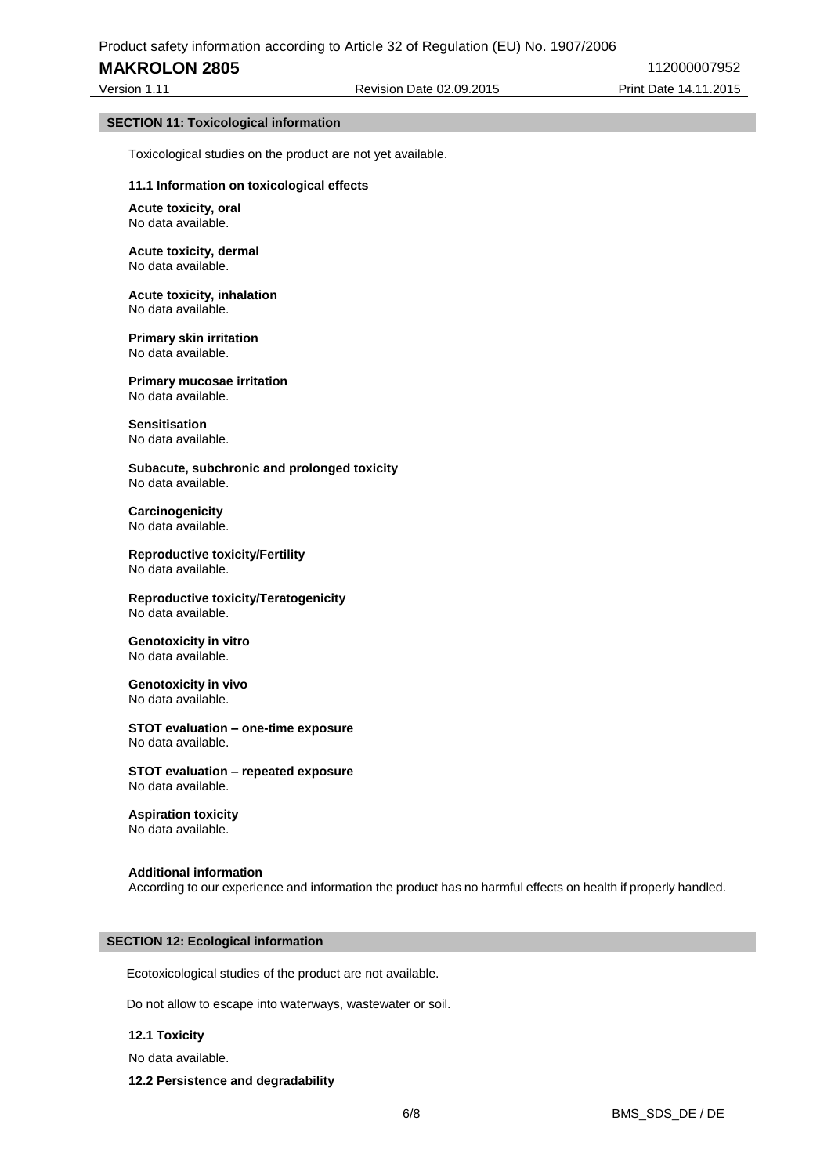# **MAKROLON 2805**  $112000007952$

Version 1.11 Revision Date 02.09.2015 Print Date 14.11.2015

#### **SECTION 11: Toxicological information**

Toxicological studies on the product are not yet available.

#### **11.1 Information on toxicological effects**

**Acute toxicity, oral** No data available.

#### **Acute toxicity, dermal** No data available.

**Acute toxicity, inhalation** No data available.

**Primary skin irritation** No data available.

**Primary mucosae irritation** No data available.

**Sensitisation** No data available.

**Subacute, subchronic and prolonged toxicity** No data available.

**Carcinogenicity** No data available.

**Reproductive toxicity/Fertility** No data available.

**Reproductive toxicity/Teratogenicity** No data available.

**Genotoxicity in vitro** No data available.

**Genotoxicity in vivo** No data available.

**STOT evaluation – one-time exposure** No data available.

**STOT evaluation – repeated exposure** No data available.

**Aspiration toxicity** No data available.

**Additional information** According to our experience and information the product has no harmful effects on health if properly handled.

#### **SECTION 12: Ecological information**

Ecotoxicological studies of the product are not available.

Do not allow to escape into waterways, wastewater or soil.

## **12.1 Toxicity**

No data available.

**12.2 Persistence and degradability**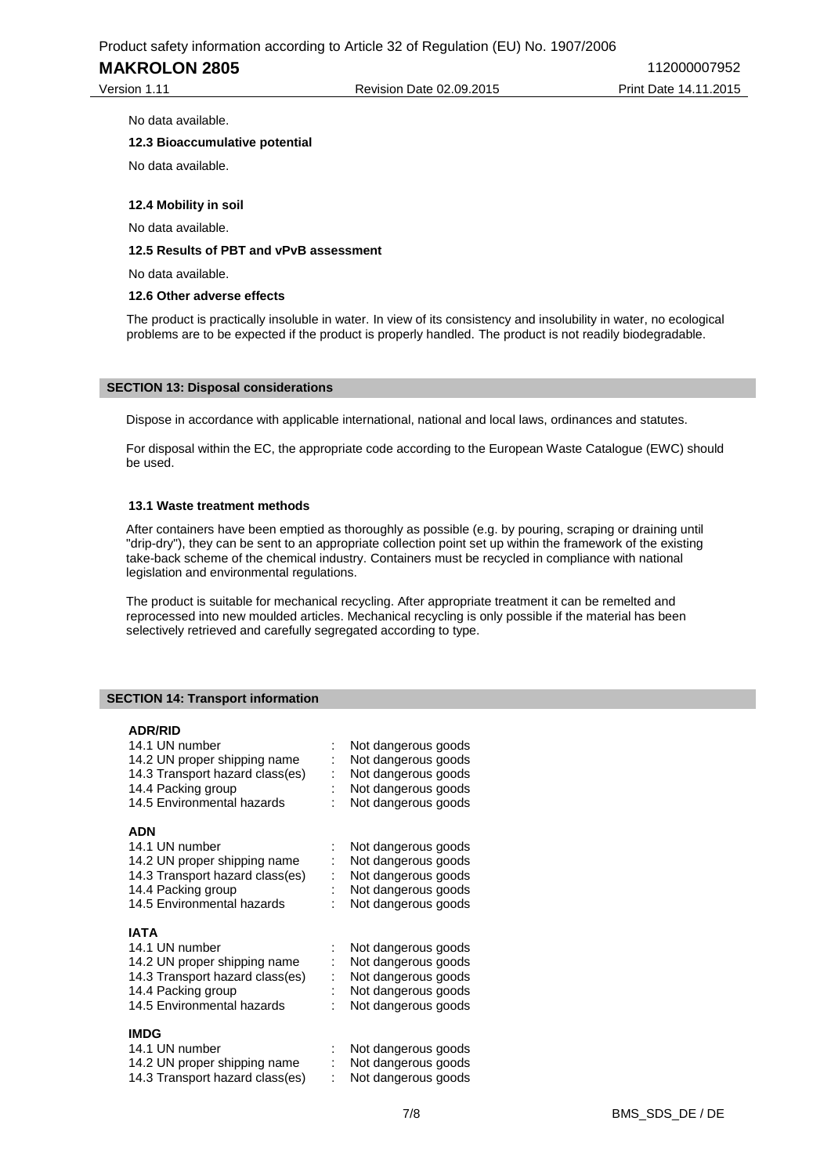**MAKROLON 2805**  $112000007952$ 

Version 1.11 **Print Date 14.11.2015** Revision Date 02.09.2015 Print Date 14.11.2015

No data available.

# **12.3 Bioaccumulative potential**

No data available.

# **12.4 Mobility in soil**

No data available.

# **12.5 Results of PBT and vPvB assessment**

No data available.

### **12.6 Other adverse effects**

The product is practically insoluble in water. In view of its consistency and insolubility in water, no ecological problems are to be expected if the product is properly handled. The product is not readily biodegradable.

#### **SECTION 13: Disposal considerations**

Dispose in accordance with applicable international, national and local laws, ordinances and statutes.

For disposal within the EC, the appropriate code according to the European Waste Catalogue (EWC) should be used.

# **13.1 Waste treatment methods**

After containers have been emptied as thoroughly as possible (e.g. by pouring, scraping or draining until "drip-dry"), they can be sent to an appropriate collection point set up within the framework of the existing take-back scheme of the chemical industry. Containers must be recycled in compliance with national legislation and environmental regulations.

The product is suitable for mechanical recycling. After appropriate treatment it can be remelted and reprocessed into new moulded articles. Mechanical recycling is only possible if the material has been selectively retrieved and carefully segregated according to type.

## **SECTION 14: Transport information**

#### **ADR/RID**

| 14.1 UN number<br>14.2 UN proper shipping name<br>14.3 Transport hazard class(es)<br>14.4 Packing group | Not dangerous goods<br>Not dangerous goods<br>Not dangerous goods<br>Not dangerous goods |
|---------------------------------------------------------------------------------------------------------|------------------------------------------------------------------------------------------|
| 14.5 Environmental hazards                                                                              | Not dangerous goods                                                                      |
| <b>ADN</b>                                                                                              |                                                                                          |
| 14.1 UN number                                                                                          | Not dangerous goods                                                                      |
| 14.2 UN proper shipping name                                                                            | Not dangerous goods                                                                      |
| 14.3 Transport hazard class(es)                                                                         | Not dangerous goods                                                                      |
| 14.4 Packing group                                                                                      | Not dangerous goods                                                                      |
| 14.5 Environmental hazards                                                                              | Not dangerous goods                                                                      |
| <b>IATA</b>                                                                                             |                                                                                          |
| 14.1 UN number                                                                                          | Not dangerous goods                                                                      |
| 14.2 UN proper shipping name                                                                            | Not dangerous goods                                                                      |
| 14.3 Transport hazard class(es)                                                                         | Not dangerous goods                                                                      |
| 14.4 Packing group                                                                                      | Not dangerous goods                                                                      |
| 14.5 Environmental hazards                                                                              | Not dangerous goods                                                                      |
|                                                                                                         |                                                                                          |
| <b>IMDG</b>                                                                                             |                                                                                          |
| 14.1 UN number                                                                                          | Not dangerous goods                                                                      |
| 14.2 UN proper shipping name                                                                            | Not dangerous goods                                                                      |
| 14.3 Transport hazard class(es)                                                                         | Not dangerous goods                                                                      |